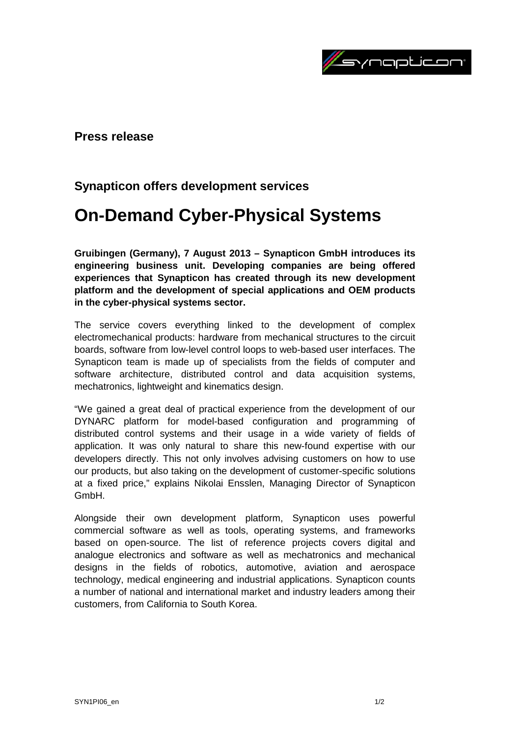

**Press release**

# **Synapticon offers development services**

# **On-Demand Cyber-Physical Systems**

**Gruibingen (Germany), 7 August 2013 – Synapticon GmbH introduces its engineering business unit. Developing companies are being offered experiences that Synapticon has created through its new development platform and the development of special applications and OEM products in the cyber-physical systems sector.**

The service covers everything linked to the development of complex electromechanical products: hardware from mechanical structures to the circuit boards, software from low-level control loops to web-based user interfaces. The Synapticon team is made up of specialists from the fields of computer and software architecture, distributed control and data acquisition systems, mechatronics, lightweight and kinematics design.

"We gained a great deal of practical experience from the development of our DYNARC platform for model-based configuration and programming of distributed control systems and their usage in a wide variety of fields of application. It was only natural to share this new-found expertise with our developers directly. This not only involves advising customers on how to use our products, but also taking on the development of customer-specific solutions at a fixed price," explains Nikolai Ensslen, Managing Director of Synapticon GmbH.

Alongside their own development platform, Synapticon uses powerful commercial software as well as tools, operating systems, and frameworks based on open-source. The list of reference projects covers digital and analogue electronics and software as well as mechatronics and mechanical designs in the fields of robotics, automotive, aviation and aerospace technology, medical engineering and industrial applications. Synapticon counts a number of national and international market and industry leaders among their customers, from California to South Korea.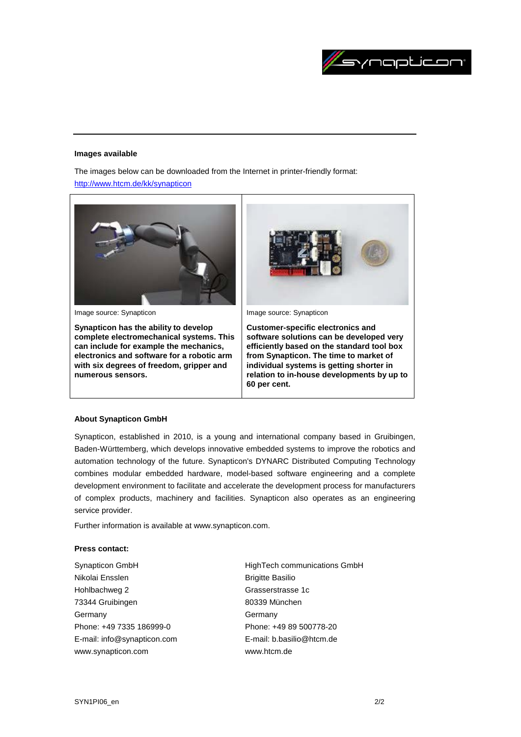

#### **Images available**

The images below can be downloaded from the Internet in printer-friendly format:

<http://www.htcm.de/kk/synapticon>



## **About Synapticon GmbH**

Synapticon, established in 2010, is a young and international company based in Gruibingen, Baden-Württemberg, which develops innovative embedded systems to improve the robotics and automation technology of the future. Synapticon's DYNARC Distributed Computing Technology combines modular embedded hardware, model-based software engineering and a complete development environment to facilitate and accelerate the development process for manufacturers of complex products, machinery and facilities. Synapticon also operates as an engineering service provider.

Further information is available at www.synapticon.com.

## **Press contact:**

- Synapticon GmbH Nikolai Ensslen Hohlbachweg 2 73344 Gruibingen Germany Phone: +49 7335 186999-0 E-mail: info@synapticon.com www.synapticon.com
- HighTech communications GmbH Brigitte Basilio Grasserstrasse 1c 80339 München Germany Phone: +49 89 500778-20 E-mail: b.basilio@htcm.de www.htcm.de